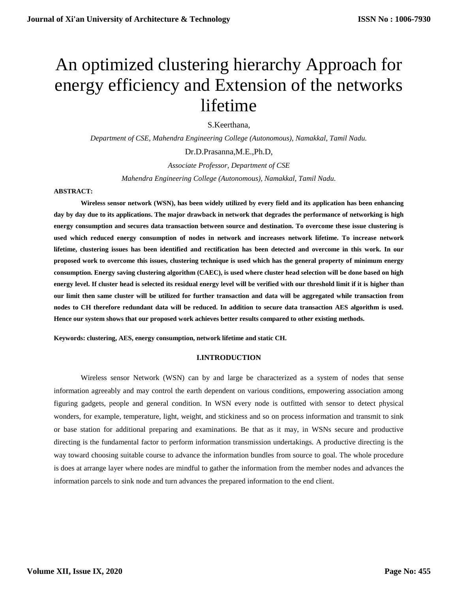# An optimized clustering hierarchy Approach for energy efficiency and Extension of the networks lifetime

S.Keerthana,

*Department of CSE, Mahendra Engineering College (Autonomous), Namakkal, Tamil Nadu.*

Dr.D.Prasanna,M.E.,Ph.D,

*Associate Professor, Department of CSE*

*Mahendra Engineering College (Autonomous), Namakkal, Tamil Nadu.*

#### **ABSTRACT:**

**Wireless sensor network (WSN), has been widely utilized by every field and its application has been enhancing day by day due to its applications. The major drawback in network that degrades the performance of networking is high energy consumption and secures data transaction between source and destination. To overcome these issue clustering is used which reduced energy consumption of nodes in network and increases network lifetime. To increase network lifetime, clustering issues has been identified and rectification has been detected and overcome in this work. In our proposed work to overcome this issues, clustering technique is used which has the general property of minimum energy consumption. Energy saving clustering algorithm (CAEC), is used where cluster head selection will be done based on high energy level. If cluster head is selected its residual energy level will be verified with our threshold limit if it is higher than our limit then same cluster will be utilized for further transaction and data will be aggregated while transaction from nodes to CH therefore redundant data will be reduced. In addition to secure data transaction AES algorithm is used. Hence our system shows that our proposed work achieves better results compared to other existing methods.** 

**Keywords: clustering, AES, energy consumption, network lifetime and static CH.**

## **I.INTRODUCTION**

Wireless sensor Network (WSN) can by and large be characterized as a system of nodes that sense information agreeably and may control the earth dependent on various conditions, empowering association among figuring gadgets, people and general condition. In WSN every node is outfitted with sensor to detect physical wonders, for example, temperature, light, weight, and stickiness and so on process information and transmit to sink or base station for additional preparing and examinations. Be that as it may, in WSNs secure and productive directing is the fundamental factor to perform information transmission undertakings. A productive directing is the way toward choosing suitable course to advance the information bundles from source to goal. The whole procedure is does at arrange layer where nodes are mindful to gather the information from the member nodes and advances the information parcels to sink node and turn advances the prepared information to the end client.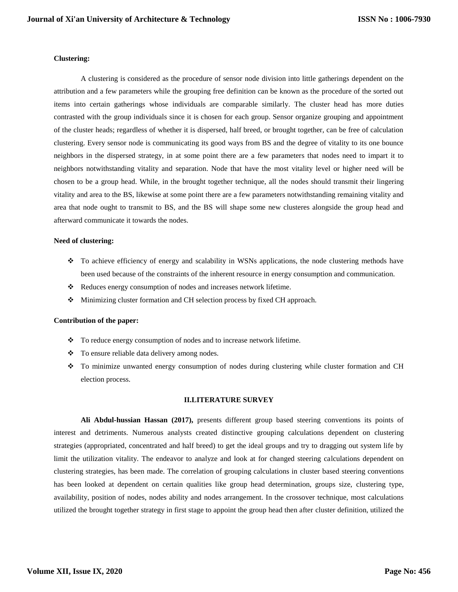#### **Clustering:**

A clustering is considered as the procedure of sensor node division into little gatherings dependent on the attribution and a few parameters while the grouping free definition can be known as the procedure of the sorted out items into certain gatherings whose individuals are comparable similarly. The cluster head has more duties contrasted with the group individuals since it is chosen for each group. Sensor organize grouping and appointment of the cluster heads; regardless of whether it is dispersed, half breed, or brought together, can be free of calculation clustering. Every sensor node is communicating its good ways from BS and the degree of vitality to its one bounce neighbors in the dispersed strategy, in at some point there are a few parameters that nodes need to impart it to neighbors notwithstanding vitality and separation. Node that have the most vitality level or higher need will be chosen to be a group head. While, in the brought together technique, all the nodes should transmit their lingering vitality and area to the BS, likewise at some point there are a few parameters notwithstanding remaining vitality and area that node ought to transmit to BS, and the BS will shape some new clusteres alongside the group head and afterward communicate it towards the nodes.

#### **Need of clustering:**

- \* To achieve efficiency of energy and scalability in WSNs applications, the node clustering methods have been used because of the constraints of the inherent resource in energy consumption and communication.
- \* Reduces energy consumption of nodes and increases network lifetime.
- Minimizing cluster formation and CH selection process by fixed CH approach.

## **Contribution of the paper:**

- \* To reduce energy consumption of nodes and to increase network lifetime.
- To ensure reliable data delivery among nodes.
- \* To minimize unwanted energy consumption of nodes during clustering while cluster formation and CH election process.

#### **II.LITERATURE SURVEY**

**Ali Abdul-hussian Hassan (2017),** presents different group based steering conventions its points of interest and detriments. Numerous analysts created distinctive grouping calculations dependent on clustering strategies (appropriated, concentrated and half breed) to get the ideal groups and try to dragging out system life by limit the utilization vitality. The endeavor to analyze and look at for changed steering calculations dependent on clustering strategies, has been made. The correlation of grouping calculations in cluster based steering conventions has been looked at dependent on certain qualities like group head determination, groups size, clustering type, availability, position of nodes, nodes ability and nodes arrangement. In the crossover technique, most calculations utilized the brought together strategy in first stage to appoint the group head then after cluster definition, utilized the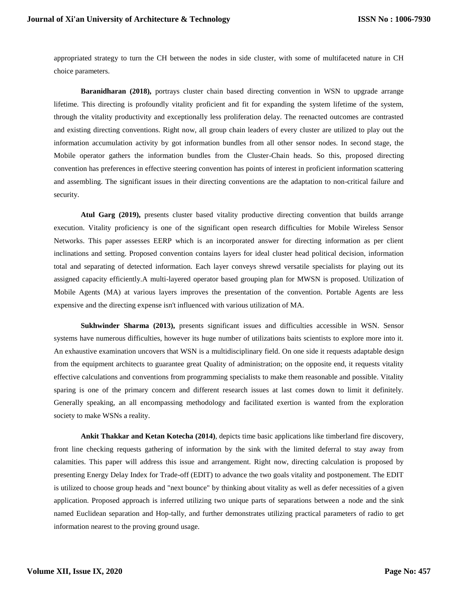appropriated strategy to turn the CH between the nodes in side cluster, with some of multifaceted nature in CH choice parameters.

**Baranidharan (2018),** portrays cluster chain based directing convention in WSN to upgrade arrange lifetime. This directing is profoundly vitality proficient and fit for expanding the system lifetime of the system, through the vitality productivity and exceptionally less proliferation delay. The reenacted outcomes are contrasted and existing directing conventions. Right now, all group chain leaders of every cluster are utilized to play out the information accumulation activity by got information bundles from all other sensor nodes. In second stage, the Mobile operator gathers the information bundles from the Cluster-Chain heads. So this, proposed directing convention has preferences in effective steering convention has points of interest in proficient information scattering and assembling. The significant issues in their directing conventions are the adaptation to non-critical failure and security.

**Atul Garg (2019),** presents cluster based vitality productive directing convention that builds arrange execution. Vitality proficiency is one of the significant open research difficulties for Mobile Wireless Sensor Networks. This paper assesses EERP which is an incorporated answer for directing information as per client inclinations and setting. Proposed convention contains layers for ideal cluster head political decision, information total and separating of detected information. Each layer conveys shrewd versatile specialists for playing out its assigned capacity efficiently.A multi-layered operator based grouping plan for MWSN is proposed. Utilization of Mobile Agents (MA) at various layers improves the presentation of the convention. Portable Agents are less expensive and the directing expense isn't influenced with various utilization of MA.

**Sukhwinder Sharma (2013),** presents significant issues and difficulties accessible in WSN. Sensor systems have numerous difficulties, however its huge number of utilizations baits scientists to explore more into it. An exhaustive examination uncovers that WSN is a multidisciplinary field. On one side it requests adaptable design from the equipment architects to guarantee great Quality of administration; on the opposite end, it requests vitality effective calculations and conventions from programming specialists to make them reasonable and possible. Vitality sparing is one of the primary concern and different research issues at last comes down to limit it definitely. Generally speaking, an all encompassing methodology and facilitated exertion is wanted from the exploration society to make WSNs a reality.

**Ankit Thakkar and Ketan Kotecha (2014)**, depicts time basic applications like timberland fire discovery, front line checking requests gathering of information by the sink with the limited deferral to stay away from calamities. This paper will address this issue and arrangement. Right now, directing calculation is proposed by presenting Energy Delay Index for Trade-off (EDIT) to advance the two goals vitality and postponement. The EDIT is utilized to choose group heads and "next bounce" by thinking about vitality as well as defer necessities of a given application. Proposed approach is inferred utilizing two unique parts of separations between a node and the sink named Euclidean separation and Hop-tally, and further demonstrates utilizing practical parameters of radio to get information nearest to the proving ground usage.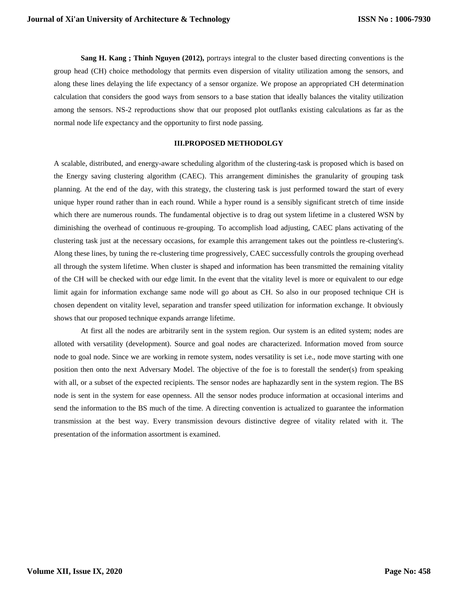**Sang H. Kang ; Thinh Nguyen (2012),** portrays integral to the cluster based directing conventions is the group head (CH) choice methodology that permits even dispersion of vitality utilization among the sensors, and along these lines delaying the life expectancy of a sensor organize. We propose an appropriated CH determination calculation that considers the good ways from sensors to a base station that ideally balances the vitality utilization among the sensors. NS-2 reproductions show that our proposed plot outflanks existing calculations as far as the normal node life expectancy and the opportunity to first node passing.

## **III.PROPOSED METHODOLGY**

A scalable, distributed, and energy-aware scheduling algorithm of the clustering-task is proposed which is based on the Energy saving clustering algorithm (CAEC). This arrangement diminishes the granularity of grouping task planning. At the end of the day, with this strategy, the clustering task is just performed toward the start of every unique hyper round rather than in each round. While a hyper round is a sensibly significant stretch of time inside which there are numerous rounds. The fundamental objective is to drag out system lifetime in a clustered WSN by diminishing the overhead of continuous re-grouping. To accomplish load adjusting, CAEC plans activating of the clustering task just at the necessary occasions, for example this arrangement takes out the pointless re-clustering's. Along these lines, by tuning the re-clustering time progressively, CAEC successfully controls the grouping overhead all through the system lifetime. When cluster is shaped and information has been transmitted the remaining vitality of the CH will be checked with our edge limit. In the event that the vitality level is more or equivalent to our edge limit again for information exchange same node will go about as CH. So also in our proposed technique CH is chosen dependent on vitality level, separation and transfer speed utilization for information exchange. It obviously shows that our proposed technique expands arrange lifetime.

At first all the nodes are arbitrarily sent in the system region. Our system is an edited system; nodes are alloted with versatility (development). Source and goal nodes are characterized. Information moved from source node to goal node. Since we are working in remote system, nodes versatility is set i.e., node move starting with one position then onto the next Adversary Model. The objective of the foe is to forestall the sender(s) from speaking with all, or a subset of the expected recipients. The sensor nodes are haphazardly sent in the system region. The BS node is sent in the system for ease openness. All the sensor nodes produce information at occasional interims and send the information to the BS much of the time. A directing convention is actualized to guarantee the information transmission at the best way. Every transmission devours distinctive degree of vitality related with it. The presentation of the information assortment is examined.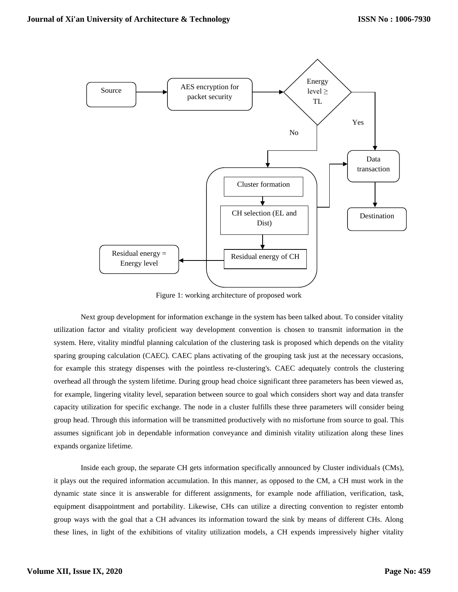

Figure 1: working architecture of proposed work

Next group development for information exchange in the system has been talked about. To consider vitality utilization factor and vitality proficient way development convention is chosen to transmit information in the system. Here, vitality mindful planning calculation of the clustering task is proposed which depends on the vitality sparing grouping calculation (CAEC). CAEC plans activating of the grouping task just at the necessary occasions, for example this strategy dispenses with the pointless re-clustering's. CAEC adequately controls the clustering overhead all through the system lifetime. During group head choice significant three parameters has been viewed as, for example, lingering vitality level, separation between source to goal which considers short way and data transfer capacity utilization for specific exchange. The node in a cluster fulfills these three parameters will consider being group head. Through this information will be transmitted productively with no misfortune from source to goal. This assumes significant job in dependable information conveyance and diminish vitality utilization along these lines expands organize lifetime.

Inside each group, the separate CH gets information specifically announced by Cluster individuals (CMs), it plays out the required information accumulation. In this manner, as opposed to the CM, a CH must work in the dynamic state since it is answerable for different assignments, for example node affiliation, verification, task, equipment disappointment and portability. Likewise, CHs can utilize a directing convention to register entomb group ways with the goal that a CH advances its information toward the sink by means of different CHs. Along these lines, in light of the exhibitions of vitality utilization models, a CH expends impressively higher vitality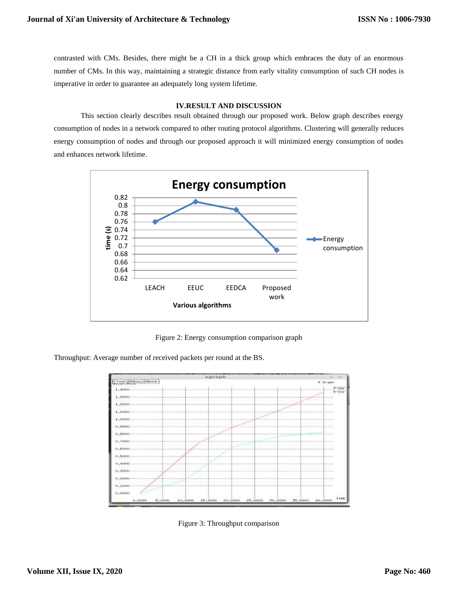contrasted with CMs. Besides, there might be a CH in a thick group which embraces the duty of an enormous number of CMs. In this way, maintaining a strategic distance from early vitality consumption of such CH nodes is imperative in order to guarantee an adequately long system lifetime.

## **IV.RESULT AND DISCUSSION**

This section clearly describes result obtained through our proposed work. Below graph describes energy consumption of nodes in a network compared to other routing protocol algorithms. Clustering will generally reduces energy consumption of nodes and through our proposed approach it will minimized energy consumption of nodes and enhances network lifetime.



Figure 2: Energy consumption comparison graph

Throughput: Average number of received packets per round at the BS.



Figure 3: Throughput comparison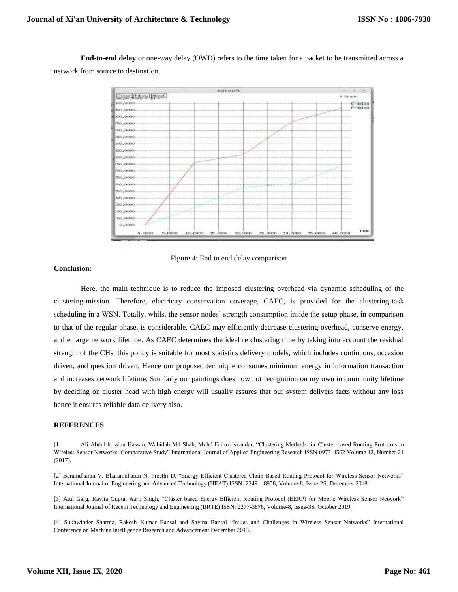**End-to-end delay** or one-way delay (OWD) refers to the time taken for a packet to be transmitted across a network from source to destination.





#### **Conclusion:**

Here, the main technique is to reduce the imposed clustering overhead via dynamic scheduling of the clustering-mission. Therefore, electricity conservation coverage, CAEC, is provided for the clustering-task scheduling in a WSN. Totally, whilst the sensor nodes' strength consumption inside the setup phase, in comparison to that of the regular phase, is considerable, CAEC may efficiently decrease clustering overhead, conserve energy, and enlarge network lifetime. As CAEC determines the ideal re clustering time by taking into account the residual strength of the CHs, this policy is suitable for most statistics delivery models, which includes continuous, occasion driven, and question driven. Hence our proposed technique consumes minimum energy in information transaction and increases network lifetime. Similarly our paintings does now not recognition on my own in community lifetime by deciding on cluster head with high energy will usually assures that our system delivers facts without any loss hence it ensures reliable data delivery also.

#### **REFERENCES**

[1] Ali Abdul-hussian Hassan, Wahidah Md Shah, Mohd Fairuz Iskandar, "Clustering Methods for Cluster-based Routing Protocols in Wireless Sensor Networks: Comparative Study" International Journal of Applied Engineering Research ISSN 0973-4562 Volume 12, Number 21 (2017).

[2] Baranidharan V, Bharanidharan N, Preethi D, "Energy Efficient Clustered Chain Based Routing Protocol for Wireless Sensor Networks" International Journal of Engineering and Advanced Technology (IJEAT) ISSN: 2249 – 8958, Volume-8, Issue-2S, December 2018

[3] Atul Garg, Kavita Gupta, Aarti Singh, "Cluster based Energy Efficient Routing Protocol (EERP) for Mobile Wireless Sensor Network" International Journal of Recent Technology and Engineering (IJRTE) ISSN: 2277-3878, Volume-8, Issue-3S, October 2019.

[4] Sukhwinder Sharma, Rakesh Kumar Bansal and Savina Bansal "Issues and Challenges in Wireless Sensor Networks" International Conference on Machine Intelligence Research and Advancement December 2013.